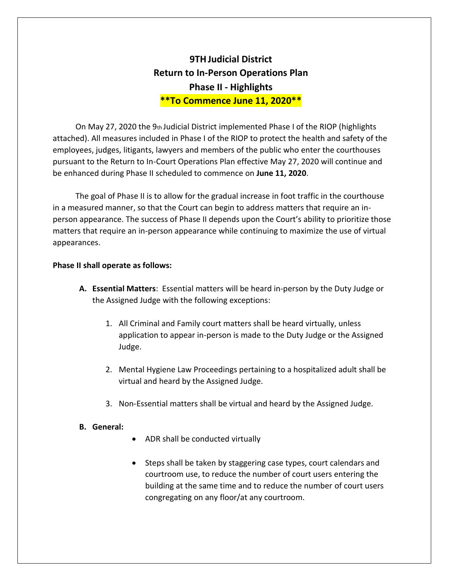## **9THJudicial District Return to In-Person Operations Plan Phase II - Highlights \*\*To Commence June 11, 2020\*\***

On May 27, 2020 the 9th Judicial District implemented Phase I of the RIOP (highlights attached). All measures included in Phase I of the RIOP to protect the health and safety of the employees, judges, litigants, lawyers and members of the public who enter the courthouses pursuant to the Return to In-Court Operations Plan effective May 27, 2020 will continue and be enhanced during Phase II scheduled to commence on **June 11, 2020**.

The goal of Phase II is to allow for the gradual increase in foot traffic in the courthouse in a measured manner, so that the Court can begin to address matters that require an inperson appearance. The success of Phase II depends upon the Court's ability to prioritize those matters that require an in-person appearance while continuing to maximize the use of virtual appearances.

## **Phase II shall operate as follows:**

- **A. Essential Matters**: Essential matters will be heard in-person by the Duty Judge or the Assigned Judge with the following exceptions:
	- 1. All Criminal and Family court matters shall be heard virtually, unless application to appear in-person is made to the Duty Judge or the Assigned Judge.
	- 2. Mental Hygiene Law Proceedings pertaining to a hospitalized adult shall be virtual and heard by the Assigned Judge.
	- 3. Non-Essential matters shall be virtual and heard by the Assigned Judge.

## **B. General:**

- ADR shall be conducted virtually
- Steps shall be taken by staggering case types, court calendars and courtroom use, to reduce the number of court users entering the building at the same time and to reduce the number of court users congregating on any floor/at any courtroom.